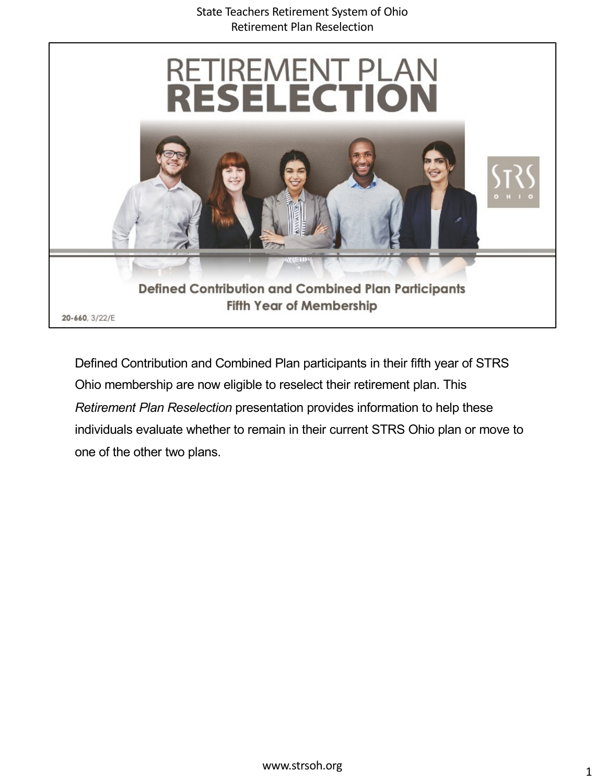

Defined Contribution and Combined Plan participants in their fifth year of STRS Ohio membership are now eligible to reselect their retirement plan. This *Retirement Plan Reselection* presentation provides information to help these individuals evaluate whether to remain in their current STRS Ohio plan or move to one of the other two plans.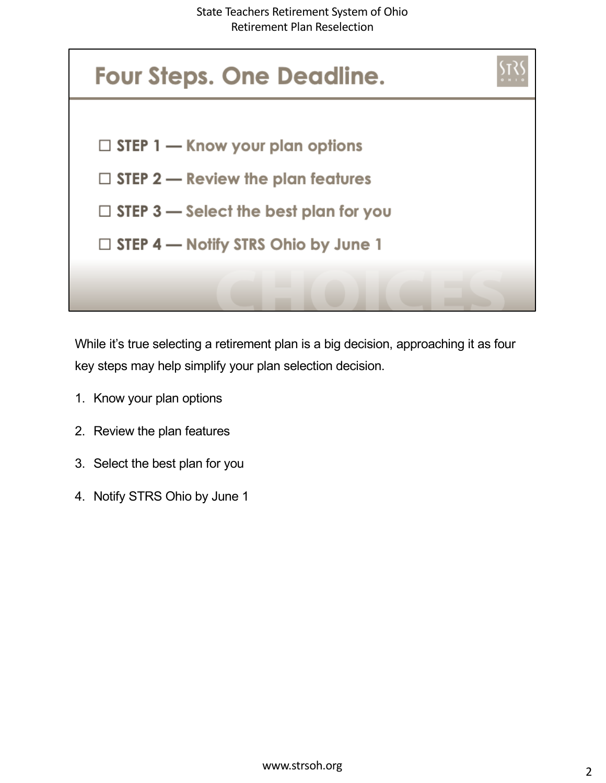

While it's true selecting a retirement plan is a big decision, approaching it as four key steps may help simplify your plan selection decision.

- 1. Know your plan options
- 2. Review the plan features
- 3. Select the best plan for you
- 4. Notify STRS Ohio by June 1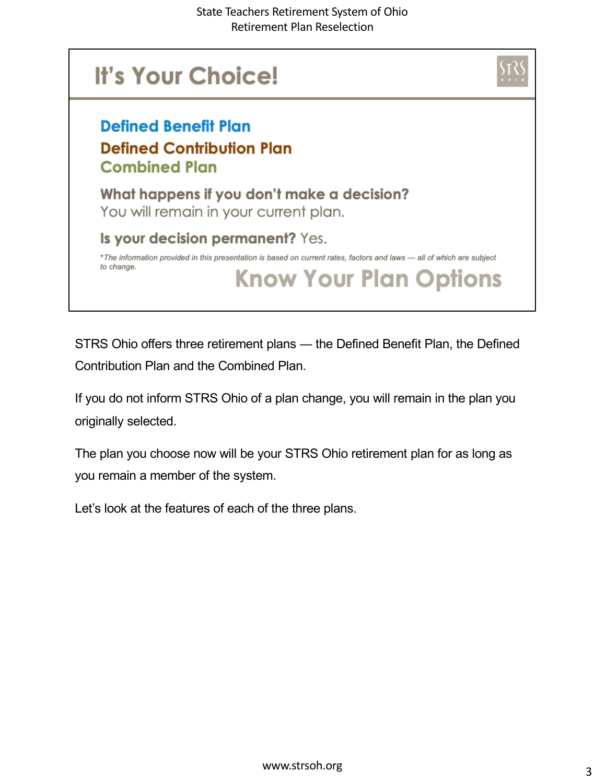

STRS Ohio offers three retirement plans ― the Defined Benefit Plan, the Defined Contribution Plan and the Combined Plan.

If you do not inform STRS Ohio of a plan change, you will remain in the plan you originally selected.

The plan you choose now will be your STRS Ohio retirement plan for as long as you remain a member of the system.

Let's look at the features of each of the three plans.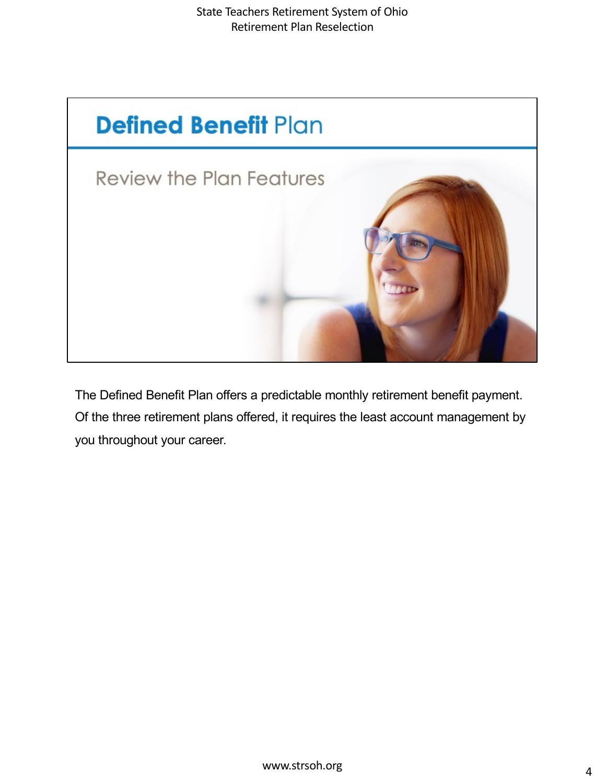

The Defined Benefit Plan offers a predictable monthly retirement benefit payment. Of the three retirement plans offered, it requires the least account management by you throughout your career.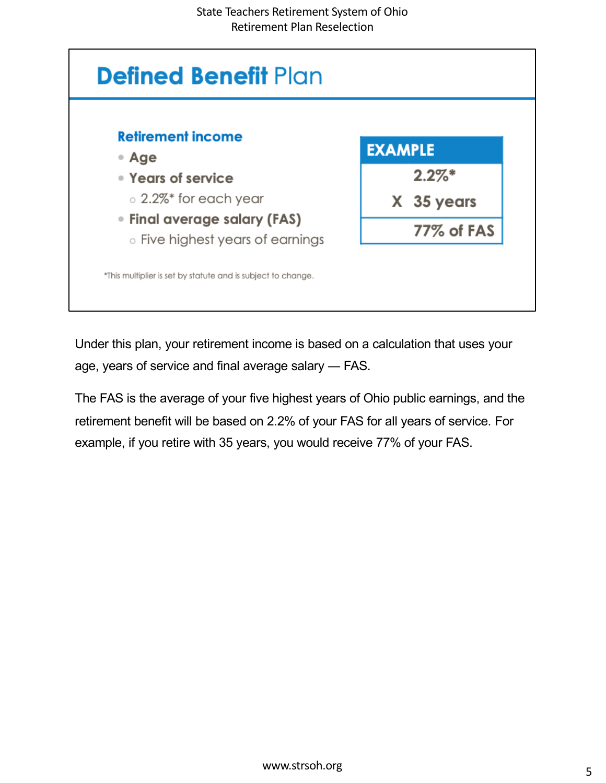

Under this plan, your retirement income is based on a calculation that uses your age, years of service and final average salary ― FAS.

The FAS is the average of your five highest years of Ohio public earnings, and the retirement benefit will be based on 2.2% of your FAS for all years of service. For example, if you retire with 35 years, you would receive 77% of your FAS.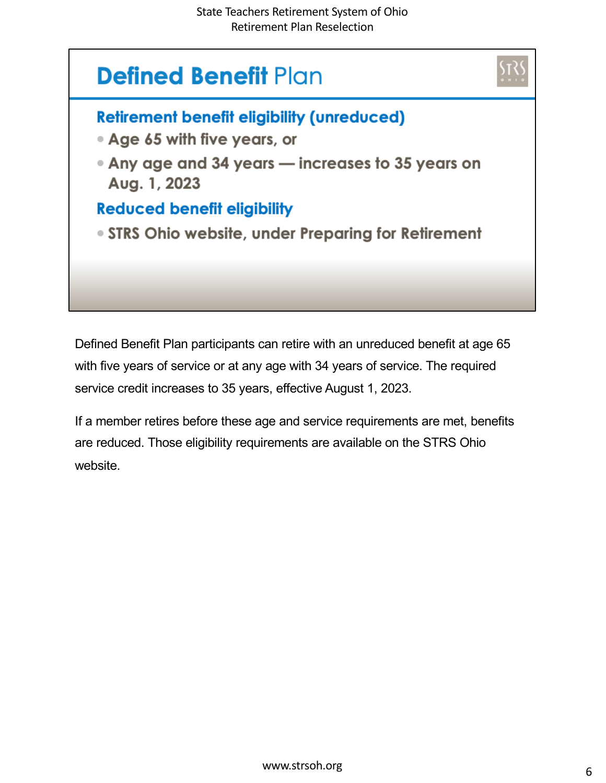## **Defined Benefit Plan**



- Age 65 with five years, or
- Any age and 34 years increases to 35 years on Aug. 1, 2023

#### **Reduced benefit eligibility**

• STRS Ohio website, under Preparing for Retirement

Defined Benefit Plan participants can retire with an unreduced benefit at age 65 with five years of service or at any age with 34 years of service. The required service credit increases to 35 years, effective August 1, 2023.

If a member retires before these age and service requirements are met, benefits are reduced. Those eligibility requirements are available on the STRS Ohio website.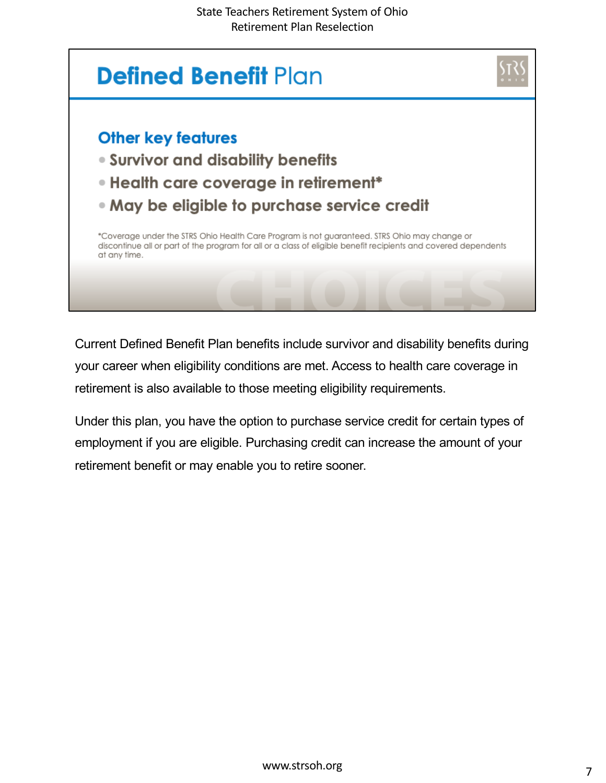

Current Defined Benefit Plan benefits include survivor and disability benefits during your career when eligibility conditions are met. Access to health care coverage in retirement is also available to those meeting eligibility requirements.

Under this plan, you have the option to purchase service credit for certain types of employment if you are eligible. Purchasing credit can increase the amount of your retirement benefit or may enable you to retire sooner.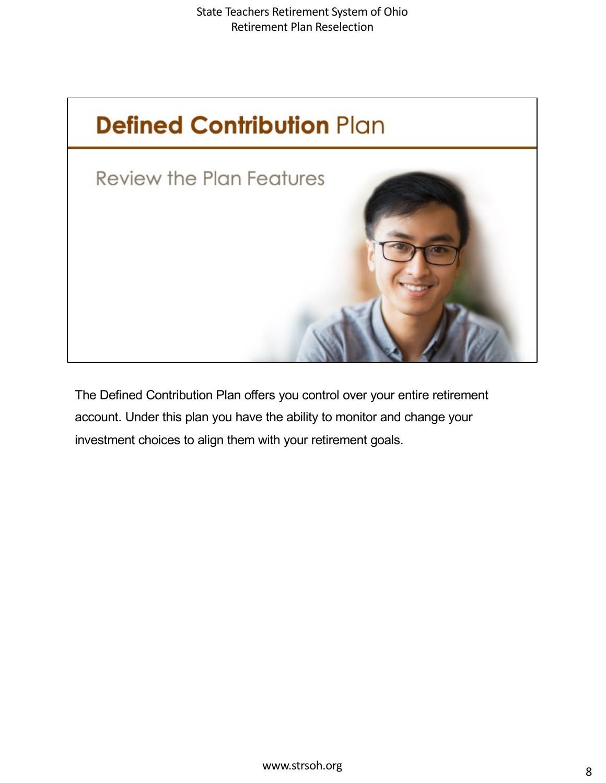

The Defined Contribution Plan offers you control over your entire retirement account. Under this plan you have the ability to monitor and change your investment choices to align them with your retirement goals.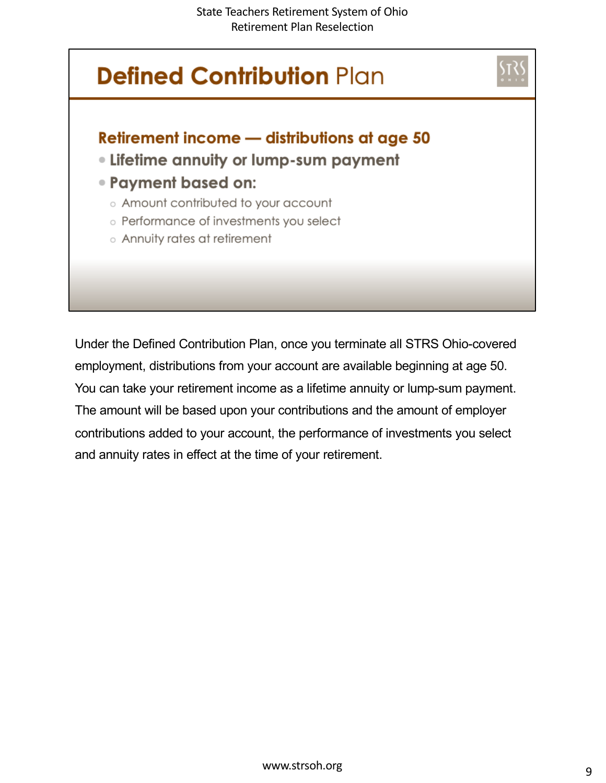

Under the Defined Contribution Plan, once you terminate all STRS Ohio-covered employment, distributions from your account are available beginning at age 50. You can take your retirement income as a lifetime annuity or lump-sum payment. The amount will be based upon your contributions and the amount of employer contributions added to your account, the performance of investments you select and annuity rates in effect at the time of your retirement.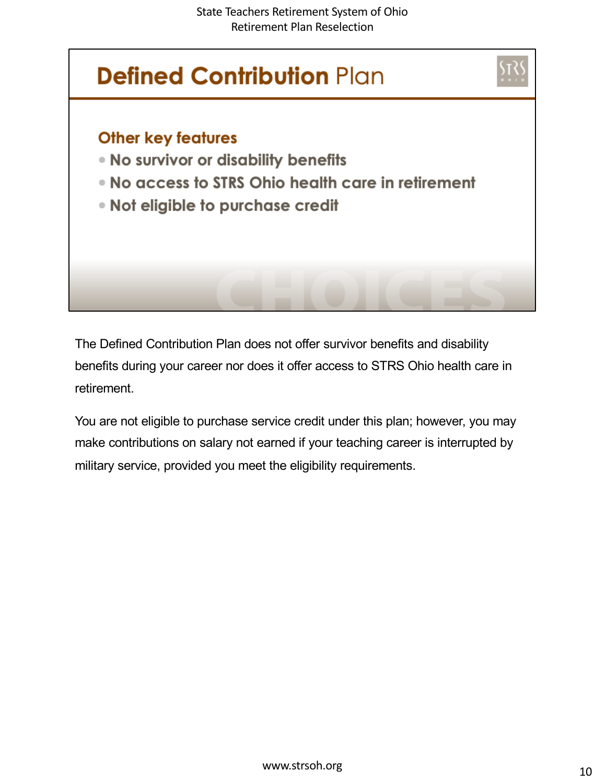

The Defined Contribution Plan does not offer survivor benefits and disability benefits during your career nor does it offer access to STRS Ohio health care in retirement.

You are not eligible to purchase service credit under this plan; however, you may make contributions on salary not earned if your teaching career is interrupted by military service, provided you meet the eligibility requirements.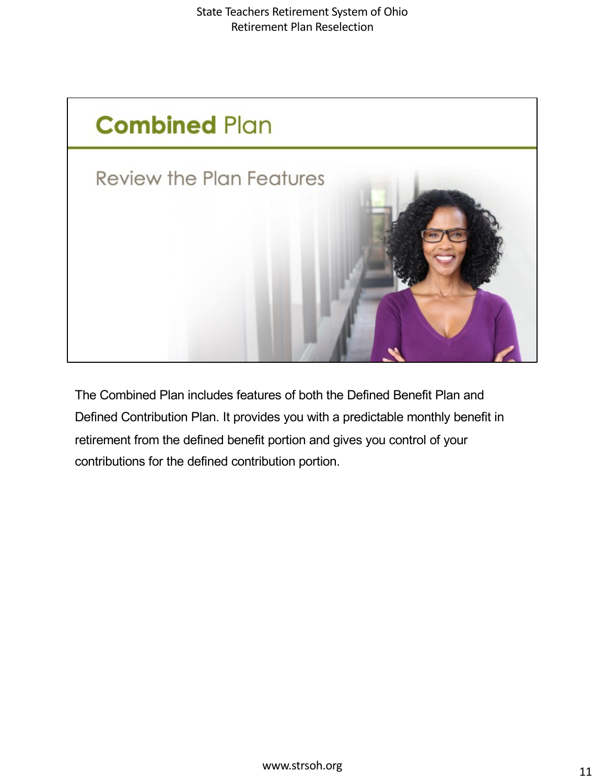

The Combined Plan includes features of both the Defined Benefit Plan and Defined Contribution Plan. It provides you with a predictable monthly benefit in retirement from the defined benefit portion and gives you control of your contributions for the defined contribution portion.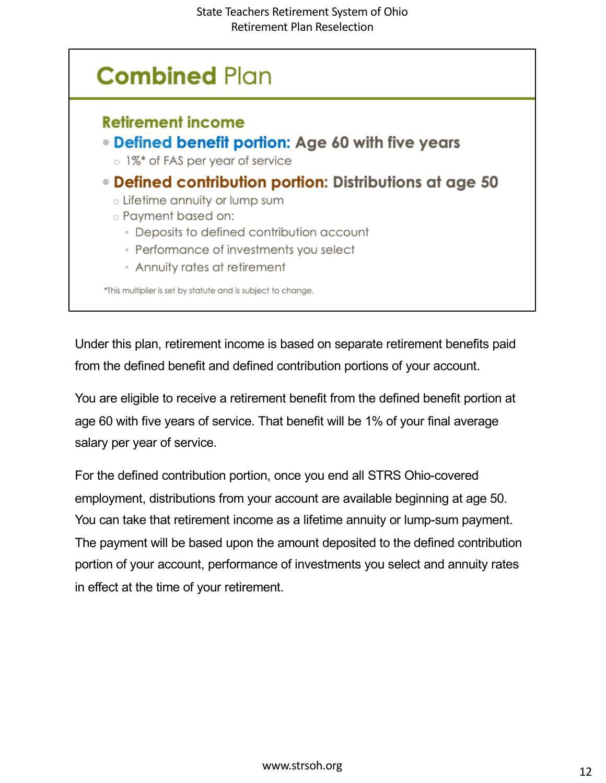

Under this plan, retirement income is based on separate retirement benefits paid from the defined benefit and defined contribution portions of your account.

You are eligible to receive a retirement benefit from the defined benefit portion at age 60 with five years of service. That benefit will be 1% of your final average salary per year of service.

For the defined contribution portion, once you end all STRS Ohio-covered employment, distributions from your account are available beginning at age 50. You can take that retirement income as a lifetime annuity or lump-sum payment. The payment will be based upon the amount deposited to the defined contribution portion of your account, performance of investments you select and annuity rates in effect at the time of your retirement.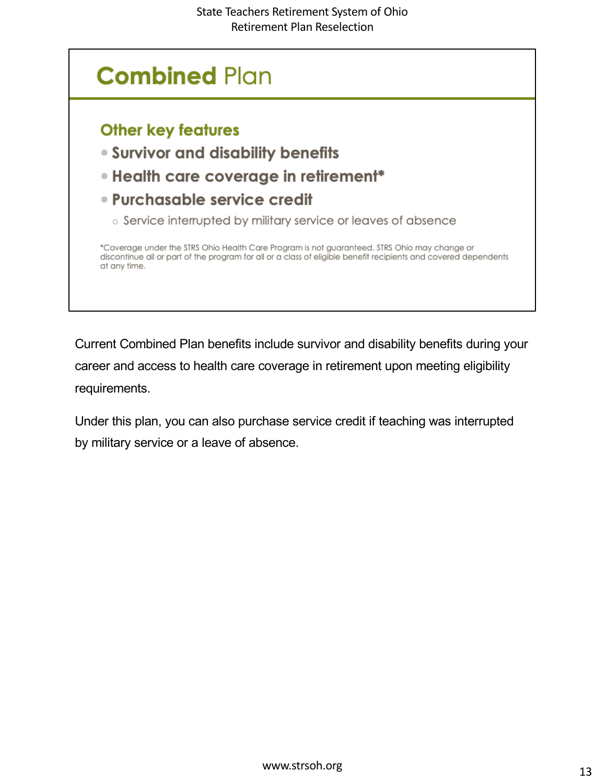### **Combined Plan Other key features .** Survivor and disability benefits • Health care coverage in retirement\* · Purchasable service credit o Service interrupted by military service or leaves of absence \*Coverage under the STRS Ohio Health Care Program is not guaranteed. STRS Ohio may change or discontinue all or part of the program for all or a class of eligible benefit recipients and covered dependents at any time.

Current Combined Plan benefits include survivor and disability benefits during your career and access to health care coverage in retirement upon meeting eligibility requirements.

Under this plan, you can also purchase service credit if teaching was interrupted by military service or a leave of absence.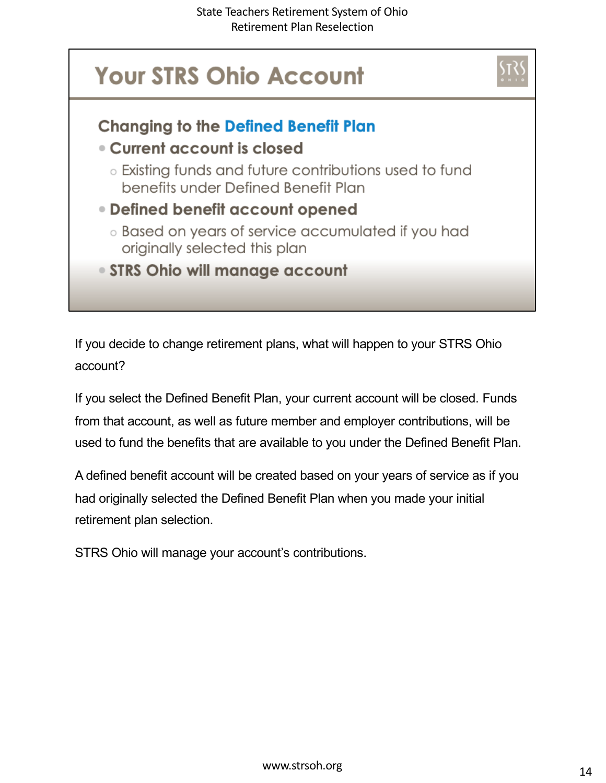

If you decide to change retirement plans, what will happen to your STRS Ohio account?

If you select the Defined Benefit Plan, your current account will be closed. Funds from that account, as well as future member and employer contributions, will be used to fund the benefits that are available to you under the Defined Benefit Plan.

A defined benefit account will be created based on your years of service as if you had originally selected the Defined Benefit Plan when you made your initial retirement plan selection.

STRS Ohio will manage your account's contributions.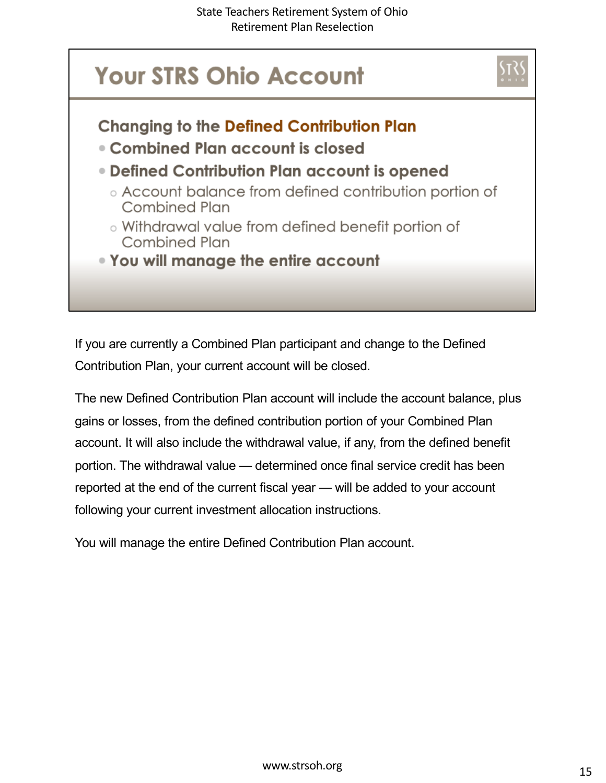

If you are currently a Combined Plan participant and change to the Defined Contribution Plan, your current account will be closed.

The new Defined Contribution Plan account will include the account balance, plus gains or losses, from the defined contribution portion of your Combined Plan account. It will also include the withdrawal value, if any, from the defined benefit portion. The withdrawal value — determined once final service credit has been reported at the end of the current fiscal year — will be added to your account following your current investment allocation instructions.

You will manage the entire Defined Contribution Plan account.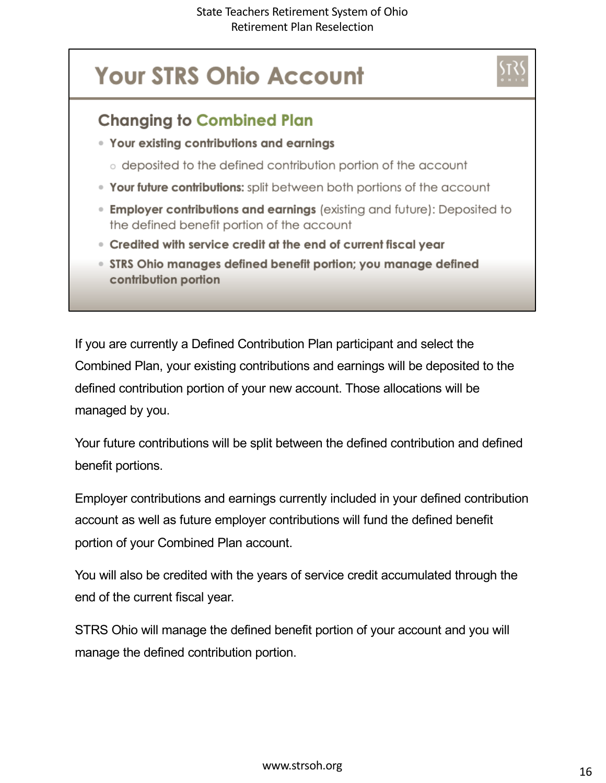# **Your STRS Ohio Account**



- Your existing contributions and earnings
	- o deposited to the defined contribution portion of the account
- . Your future contributions: split between both portions of the account
- **Employer contributions and earnings** (existing and future): Deposited to the defined benefit portion of the account
- Credited with service credit at the end of current fiscal year
- STRS Ohio manages defined benefit portion; you manage defined contribution portion

If you are currently a Defined Contribution Plan participant and select the Combined Plan, your existing contributions and earnings will be deposited to the defined contribution portion of your new account. Those allocations will be managed by you.

Your future contributions will be split between the defined contribution and defined benefit portions.

Employer contributions and earnings currently included in your defined contribution account as well as future employer contributions will fund the defined benefit portion of your Combined Plan account.

You will also be credited with the years of service credit accumulated through the end of the current fiscal year.

STRS Ohio will manage the defined benefit portion of your account and you will manage the defined contribution portion.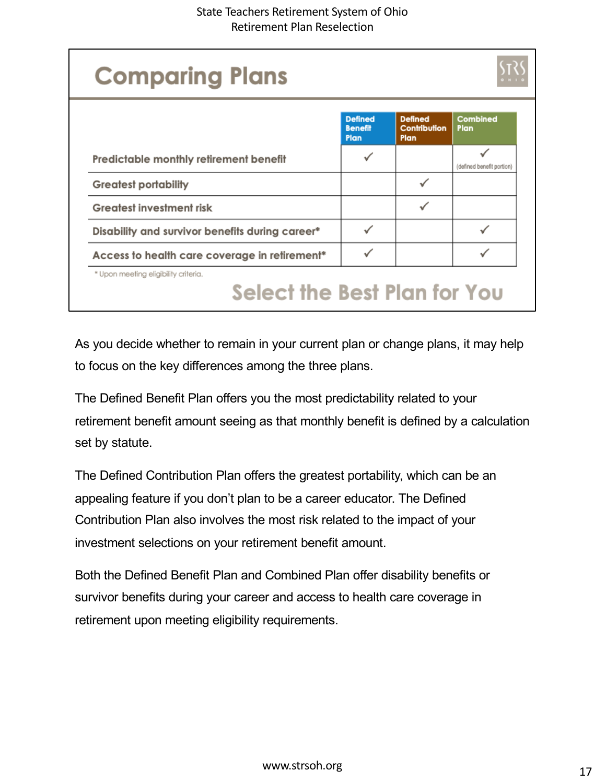| <b>Comparing Plans</b>                                               |                                          |                                               |                           |
|----------------------------------------------------------------------|------------------------------------------|-----------------------------------------------|---------------------------|
|                                                                      | <b>Defined</b><br><b>Benefit</b><br>Plan | <b>Defined</b><br><b>Contribution</b><br>Plan | Combined<br>Plan          |
| Predictable monthly retirement benefit                               |                                          |                                               | (defined benefit portion) |
| <b>Greatest portability</b>                                          |                                          |                                               |                           |
| <b>Greatest investment risk</b>                                      |                                          |                                               |                           |
| Disability and survivor benefits during career*                      |                                          |                                               |                           |
| Access to health care coverage in retirement*                        |                                          |                                               |                           |
| * Upon meeting eligibility criteria.<br>Select the Best Plan for You |                                          |                                               |                           |

As you decide whether to remain in your current plan or change plans, it may help to focus on the key differences among the three plans.

The Defined Benefit Plan offers you the most predictability related to your retirement benefit amount seeing as that monthly benefit is defined by a calculation set by statute.

The Defined Contribution Plan offers the greatest portability, which can be an appealing feature if you don't plan to be a career educator. The Defined Contribution Plan also involves the most risk related to the impact of your investment selections on your retirement benefit amount.

Both the Defined Benefit Plan and Combined Plan offer disability benefits or survivor benefits during your career and access to health care coverage in retirement upon meeting eligibility requirements.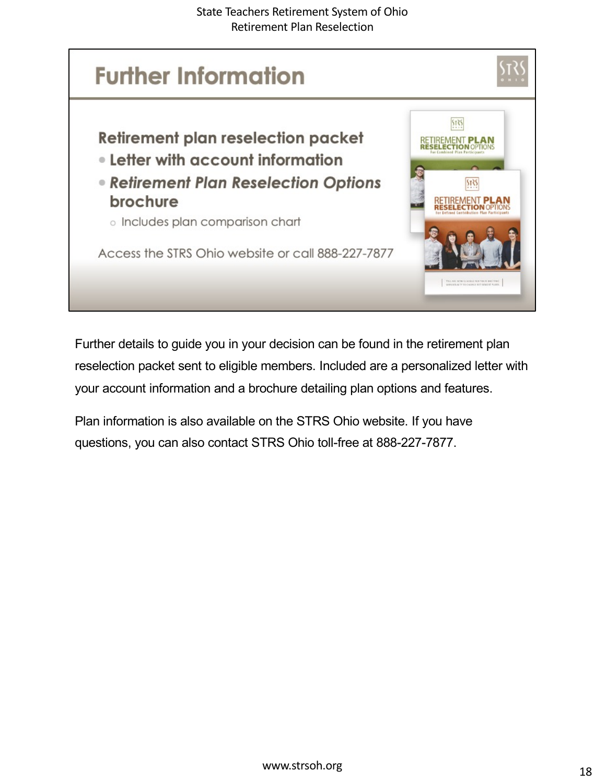

Further details to guide you in your decision can be found in the retirement plan reselection packet sent to eligible members. Included are a personalized letter with your account information and a brochure detailing plan options and features.

Plan information is also available on the STRS Ohio website. If you have questions, you can also contact STRS Ohio toll-free at 888-227-7877.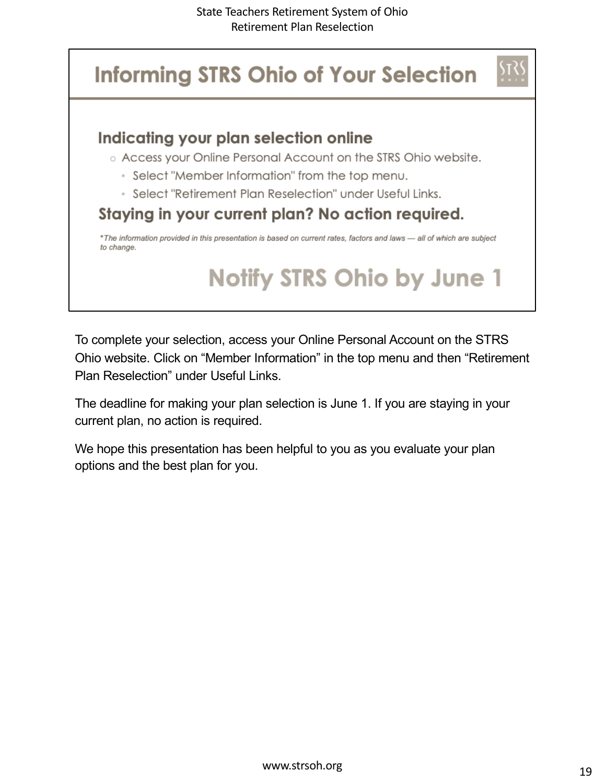## **Informing STRS Ohio of Your Selection**

#### Indicating your plan selection online

- o Access your Online Personal Account on the STRS Ohio website.
	- Select "Member Information" from the top menu.
	- Select "Retirement Plan Reselection" under Useful Links.

#### Staying in your current plan? No action required.

\*The information provided in this presentation is based on current rates, factors and laws - all of which are subject to change.

# **Notify STRS Ohio by June 1**

To complete your selection, access your Online Personal Account on the STRS Ohio website. Click on "Member Information" in the top menu and then "Retirement Plan Reselection" under Useful Links.

The deadline for making your plan selection is June 1. If you are staying in your current plan, no action is required.

We hope this presentation has been helpful to you as you evaluate your plan options and the best plan for you.